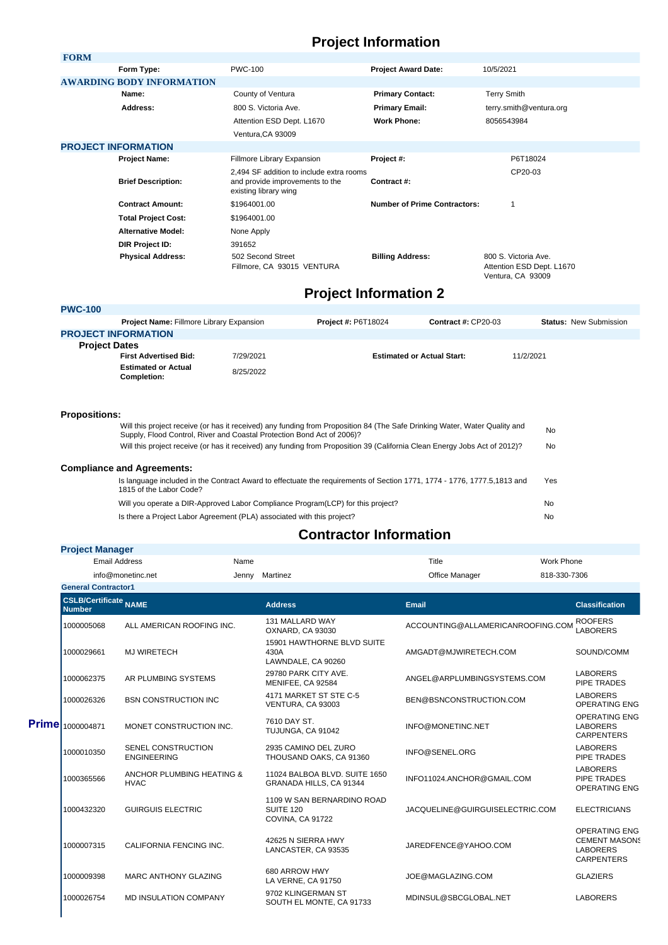## **Project Information**

| <b>FORM</b>               |                                  |                                                                                                      |                                     |                                                                        |  |
|---------------------------|----------------------------------|------------------------------------------------------------------------------------------------------|-------------------------------------|------------------------------------------------------------------------|--|
|                           | Form Type:                       | <b>PWC-100</b>                                                                                       | <b>Project Award Date:</b>          | 10/5/2021                                                              |  |
|                           | <b>AWARDING BODY INFORMATION</b> |                                                                                                      |                                     |                                                                        |  |
|                           | Name:                            | County of Ventura                                                                                    | <b>Primary Contact:</b>             | <b>Terry Smith</b>                                                     |  |
|                           | Address:                         | 800 S. Victoria Ave.                                                                                 | <b>Primary Email:</b>               | terry.smith@ventura.org                                                |  |
|                           |                                  | Attention ESD Dept. L1670                                                                            | <b>Work Phone:</b>                  | 8056543984                                                             |  |
|                           |                                  | Ventura, CA 93009                                                                                    |                                     |                                                                        |  |
|                           | <b>PROJECT INFORMATION</b>       |                                                                                                      |                                     |                                                                        |  |
|                           | <b>Project Name:</b>             | Fillmore Library Expansion                                                                           | Project #:                          | P6T18024                                                               |  |
| <b>Brief Description:</b> |                                  | 2,494 SF addition to include extra rooms<br>and provide improvements to the<br>existing library wing | Contract #:                         | CP20-03                                                                |  |
|                           | <b>Contract Amount:</b>          | \$1964001.00                                                                                         | <b>Number of Prime Contractors:</b> | 1                                                                      |  |
|                           | <b>Total Project Cost:</b>       | \$1964001.00                                                                                         |                                     |                                                                        |  |
|                           | <b>Alternative Model:</b>        | None Apply                                                                                           |                                     |                                                                        |  |
|                           | DIR Project ID:                  | 391652                                                                                               |                                     |                                                                        |  |
|                           | <b>Physical Address:</b>         | 502 Second Street<br>Fillmore, CA 93015 VENTURA                                                      | <b>Billing Address:</b>             | 800 S. Victoria Ave.<br>Attention ESD Dept. L1670<br>Ventura, CA 93009 |  |

## **Project Information 2**

| <b>PWC-100</b>       |                                           |           |                                   |                            |                               |  |
|----------------------|-------------------------------------------|-----------|-----------------------------------|----------------------------|-------------------------------|--|
|                      | Project Name: Fillmore Library Expansion  |           | <b>Project #: P6T18024</b>        | <b>Contract #: CP20-03</b> | <b>Status: New Submission</b> |  |
|                      | <b>PROJECT INFORMATION</b>                |           |                                   |                            |                               |  |
| <b>Project Dates</b> |                                           |           |                                   |                            |                               |  |
|                      | <b>First Advertised Bid:</b>              | 7/29/2021 | <b>Estimated or Actual Start:</b> |                            | 11/2/2021                     |  |
|                      | <b>Estimated or Actual</b><br>Completion: | 8/25/2022 |                                   |                            |                               |  |
|                      |                                           |           |                                   |                            |                               |  |

## **Propositions:**

| Will this project receive (or has it received) any funding from Proposition 84 (The Safe Drinking Water, Water Quality and<br>Supply, Flood Control, River and Coastal Protection Bond Act of 2006)? | No  |
|------------------------------------------------------------------------------------------------------------------------------------------------------------------------------------------------------|-----|
| Will this project receive (or has it received) any funding from Proposition 39 (California Clean Energy Jobs Act of 2012)?                                                                           | No  |
| <b>Compliance and Agreements:</b>                                                                                                                                                                    |     |
| Is language included in the Contract Award to effectuate the requirements of Section 1771, 1774 - 1776, 1777.5,1813 and<br>1815 of the Labor Code?                                                   | Yes |
| Will you operate a DIR-Approved Labor Compliance Program(LCP) for this project?                                                                                                                      | No  |
| Is there a Project Labor Agreement (PLA) associated with this project?                                                                                                                               | No  |

## **Contractor Information**

|  | <b>Project Manager</b> |                                                                                          |      |                                                             |                                   |                   |                                                                                      |
|--|------------------------|------------------------------------------------------------------------------------------|------|-------------------------------------------------------------|-----------------------------------|-------------------|--------------------------------------------------------------------------------------|
|  | <b>Email Address</b>   |                                                                                          | Name |                                                             | Title                             | <b>Work Phone</b> |                                                                                      |
|  |                        | info@monetinc.net<br>Jenny<br><b>General Contractor1</b><br><b>CSLB/Certificate NAME</b> |      | Martinez                                                    | Office Manager                    | 818-330-7306      |                                                                                      |
|  |                        |                                                                                          |      |                                                             |                                   |                   |                                                                                      |
|  | <b>Number</b>          |                                                                                          |      | <b>Address</b>                                              | <b>Email</b>                      |                   | <b>Classification</b>                                                                |
|  | 1000005068             | ALL AMERICAN ROOFING INC.                                                                |      | 131 MALLARD WAY<br>OXNARD, CA 93030                         | ACCOUNTING@ALLAMERICANROOFING.COM |                   | <b>ROOFERS</b><br><b>LABORERS</b>                                                    |
|  | 1000029661             | <b>MJ WIRETECH</b>                                                                       |      | 15901 HAWTHORNE BLVD SUITE<br>430A<br>LAWNDALE, CA 90260    | AMGADT@MJWIRETECH.COM             |                   | SOUND/COMM                                                                           |
|  | 1000062375             | AR PLUMBING SYSTEMS                                                                      |      | 29780 PARK CITY AVE.<br>MENIFEE, CA 92584                   | ANGEL@ARPLUMBINGSYSTEMS.COM       |                   | <b>LABORERS</b><br>PIPE TRADES                                                       |
|  | 1000026326             | <b>BSN CONSTRUCTION INC</b>                                                              |      | 4171 MARKET ST STE C-5<br>VENTURA, CA 93003                 | BEN@BSNCONSTRUCTION.COM           |                   | <b>LABORERS</b><br><b>OPERATING ENG</b>                                              |
|  | Prime 1000004871       | MONET CONSTRUCTION INC.                                                                  |      | 7610 DAY ST.<br>TUJUNGA, CA 91042                           | INFO@MONETINC.NET                 |                   | <b>OPERATING ENG</b><br><b>LABORERS</b><br><b>CARPENTERS</b>                         |
|  | 1000010350             | SENEL CONSTRUCTION<br><b>ENGINEERING</b>                                                 |      | 2935 CAMINO DEL ZURO<br>THOUSAND OAKS, CA 91360             | INFO@SENEL.ORG                    |                   | <b>LABORERS</b><br><b>PIPE TRADES</b>                                                |
|  | 1000365566             | ANCHOR PLUMBING HEATING &<br><b>HVAC</b>                                                 |      | 11024 BALBOA BLVD, SUITE 1650<br>GRANADA HILLS, CA 91344    | INFO11024.ANCHOR@GMAIL.COM        |                   | <b>LABORERS</b><br><b>PIPE TRADES</b><br><b>OPERATING ENG</b>                        |
|  | 1000432320             | <b>GUIRGUIS ELECTRIC</b>                                                                 |      | 1109 W SAN BERNARDINO ROAD<br>SUITE 120<br>COVINA, CA 91722 | JACQUELINE@GUIRGUISELECTRIC.COM   |                   | <b>ELECTRICIANS</b>                                                                  |
|  | 1000007315             | CALIFORNIA FENCING INC.                                                                  |      | 42625 N SIERRA HWY<br>LANCASTER, CA 93535                   | JAREDFENCE@YAHOO.COM              |                   | <b>OPERATING ENG</b><br><b>CEMENT MASONS</b><br><b>LABORERS</b><br><b>CARPENTERS</b> |
|  | 1000009398             | <b>MARC ANTHONY GLAZING</b>                                                              |      | 680 ARROW HWY<br>LA VERNE, CA 91750                         | JOE@MAGLAZING.COM                 |                   | <b>GLAZIERS</b>                                                                      |
|  | 1000026754             | <b>MD INSULATION COMPANY</b>                                                             |      | 9702 KLINGERMAN ST<br>SOUTH EL MONTE, CA 91733              | MDINSUL@SBCGLOBAL.NET             |                   | <b>LABORERS</b>                                                                      |
|  |                        |                                                                                          |      |                                                             |                                   |                   |                                                                                      |